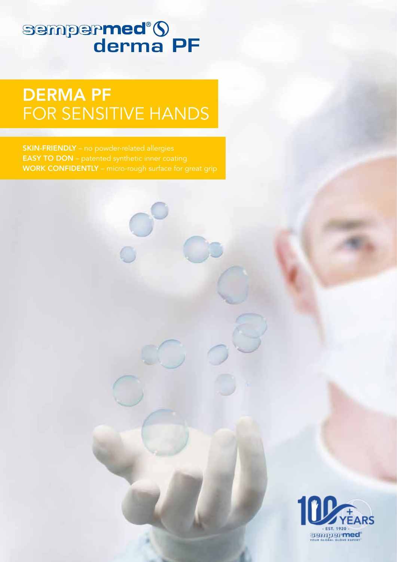# sempermed<sup>®</sup>S

## DERMA PF FOR SENSITIVE HANDS

SKIN-FRIENDLY – no powder-related allergies EASY TO DON – patented synthetic inner coating WORK CONFIDENTLY – micro-rough surface for great grip